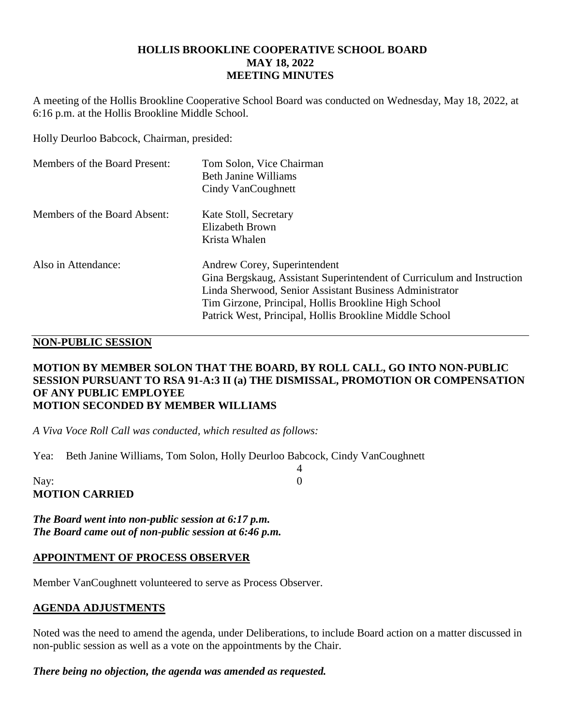### **HOLLIS BROOKLINE COOPERATIVE SCHOOL BOARD MAY 18, 2022 MEETING MINUTES**

A meeting of the Hollis Brookline Cooperative School Board was conducted on Wednesday, May 18, 2022, at 6:16 p.m. at the Hollis Brookline Middle School.

Holly Deurloo Babcock, Chairman, presided:

| Members of the Board Present: | Tom Solon, Vice Chairman<br>Beth Janine Williams<br>Cindy VanCoughnett                                                                                                                                                                                                               |
|-------------------------------|--------------------------------------------------------------------------------------------------------------------------------------------------------------------------------------------------------------------------------------------------------------------------------------|
| Members of the Board Absent:  | Kate Stoll, Secretary<br>Elizabeth Brown<br>Krista Whalen                                                                                                                                                                                                                            |
| Also in Attendance:           | Andrew Corey, Superintendent<br>Gina Bergskaug, Assistant Superintendent of Curriculum and Instruction<br>Linda Sherwood, Senior Assistant Business Administrator<br>Tim Girzone, Principal, Hollis Brookline High School<br>Patrick West, Principal, Hollis Brookline Middle School |

# **NON-PUBLIC SESSION**

### **MOTION BY MEMBER SOLON THAT THE BOARD, BY ROLL CALL, GO INTO NON-PUBLIC SESSION PURSUANT TO RSA 91-A:3 II (a) THE DISMISSAL, PROMOTION OR COMPENSATION OF ANY PUBLIC EMPLOYEE MOTION SECONDED BY MEMBER WILLIAMS**

4

*A Viva Voce Roll Call was conducted, which resulted as follows:*

Yea: Beth Janine Williams, Tom Solon, Holly Deurloo Babcock, Cindy VanCoughnett

| Nay:                  |  |
|-----------------------|--|
| <b>MOTION CARRIED</b> |  |

*The Board went into non-public session at 6:17 p.m. The Board came out of non-public session at 6:46 p.m.*

### **APPOINTMENT OF PROCESS OBSERVER**

Member VanCoughnett volunteered to serve as Process Observer.

### **AGENDA ADJUSTMENTS**

Noted was the need to amend the agenda, under Deliberations, to include Board action on a matter discussed in non-public session as well as a vote on the appointments by the Chair.

*There being no objection, the agenda was amended as requested.*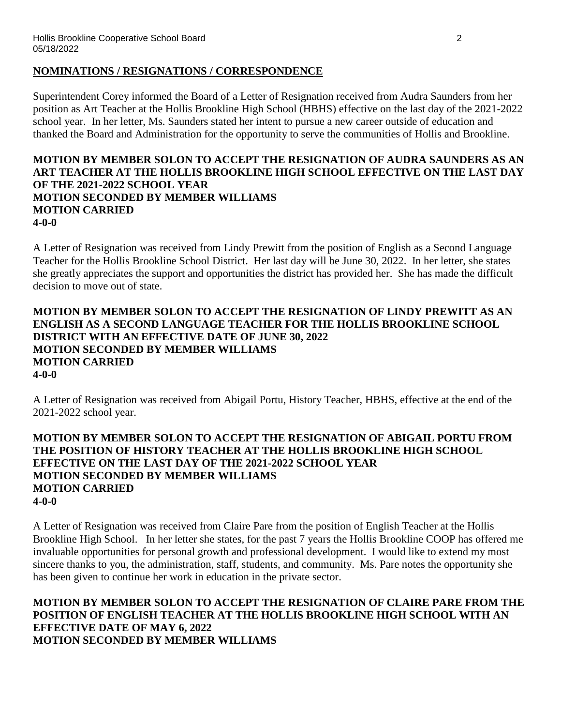#### **NOMINATIONS / RESIGNATIONS / CORRESPONDENCE**

Superintendent Corey informed the Board of a Letter of Resignation received from Audra Saunders from her position as Art Teacher at the Hollis Brookline High School (HBHS) effective on the last day of the 2021-2022 school year. In her letter, Ms. Saunders stated her intent to pursue a new career outside of education and thanked the Board and Administration for the opportunity to serve the communities of Hollis and Brookline.

### **MOTION BY MEMBER SOLON TO ACCEPT THE RESIGNATION OF AUDRA SAUNDERS AS AN ART TEACHER AT THE HOLLIS BROOKLINE HIGH SCHOOL EFFECTIVE ON THE LAST DAY OF THE 2021-2022 SCHOOL YEAR MOTION SECONDED BY MEMBER WILLIAMS MOTION CARRIED 4-0-0**

A Letter of Resignation was received from Lindy Prewitt from the position of English as a Second Language Teacher for the Hollis Brookline School District. Her last day will be June 30, 2022. In her letter, she states she greatly appreciates the support and opportunities the district has provided her. She has made the difficult decision to move out of state.

### **MOTION BY MEMBER SOLON TO ACCEPT THE RESIGNATION OF LINDY PREWITT AS AN ENGLISH AS A SECOND LANGUAGE TEACHER FOR THE HOLLIS BROOKLINE SCHOOL DISTRICT WITH AN EFFECTIVE DATE OF JUNE 30, 2022 MOTION SECONDED BY MEMBER WILLIAMS MOTION CARRIED 4-0-0**

A Letter of Resignation was received from Abigail Portu, History Teacher, HBHS, effective at the end of the 2021-2022 school year.

### **MOTION BY MEMBER SOLON TO ACCEPT THE RESIGNATION OF ABIGAIL PORTU FROM THE POSITION OF HISTORY TEACHER AT THE HOLLIS BROOKLINE HIGH SCHOOL EFFECTIVE ON THE LAST DAY OF THE 2021-2022 SCHOOL YEAR MOTION SECONDED BY MEMBER WILLIAMS MOTION CARRIED 4-0-0**

A Letter of Resignation was received from Claire Pare from the position of English Teacher at the Hollis Brookline High School. In her letter she states, for the past 7 years the Hollis Brookline COOP has offered me invaluable opportunities for personal growth and professional development. I would like to extend my most sincere thanks to you, the administration, staff, students, and community. Ms. Pare notes the opportunity she has been given to continue her work in education in the private sector.

### **MOTION BY MEMBER SOLON TO ACCEPT THE RESIGNATION OF CLAIRE PARE FROM THE POSITION OF ENGLISH TEACHER AT THE HOLLIS BROOKLINE HIGH SCHOOL WITH AN EFFECTIVE DATE OF MAY 6, 2022 MOTION SECONDED BY MEMBER WILLIAMS**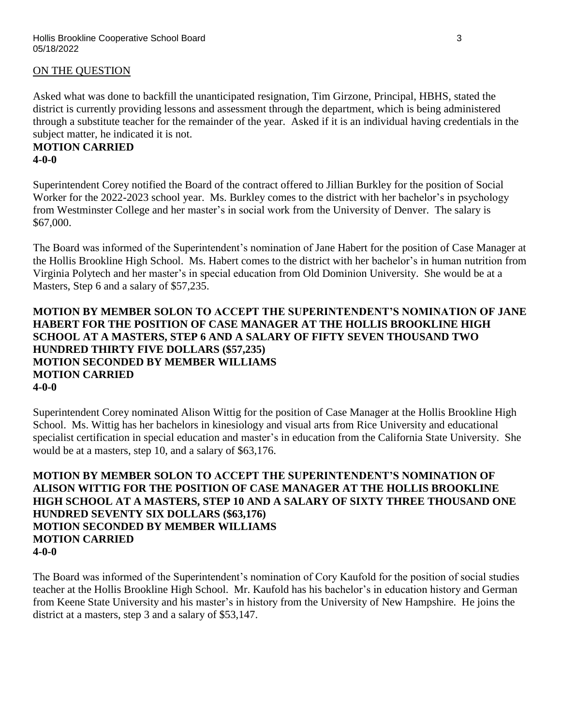### ON THE QUESTION

Asked what was done to backfill the unanticipated resignation, Tim Girzone, Principal, HBHS, stated the district is currently providing lessons and assessment through the department, which is being administered through a substitute teacher for the remainder of the year. Asked if it is an individual having credentials in the subject matter, he indicated it is not.

### **MOTION CARRIED 4-0-0**

Superintendent Corey notified the Board of the contract offered to Jillian Burkley for the position of Social Worker for the 2022-2023 school year. Ms. Burkley comes to the district with her bachelor's in psychology from Westminster College and her master's in social work from the University of Denver. The salary is \$67,000.

The Board was informed of the Superintendent's nomination of Jane Habert for the position of Case Manager at the Hollis Brookline High School. Ms. Habert comes to the district with her bachelor's in human nutrition from Virginia Polytech and her master's in special education from Old Dominion University. She would be at a Masters, Step 6 and a salary of \$57,235.

### **MOTION BY MEMBER SOLON TO ACCEPT THE SUPERINTENDENT'S NOMINATION OF JANE HABERT FOR THE POSITION OF CASE MANAGER AT THE HOLLIS BROOKLINE HIGH SCHOOL AT A MASTERS, STEP 6 AND A SALARY OF FIFTY SEVEN THOUSAND TWO HUNDRED THIRTY FIVE DOLLARS (\$57,235) MOTION SECONDED BY MEMBER WILLIAMS MOTION CARRIED 4-0-0**

Superintendent Corey nominated Alison Wittig for the position of Case Manager at the Hollis Brookline High School. Ms. Wittig has her bachelors in kinesiology and visual arts from Rice University and educational specialist certification in special education and master's in education from the California State University. She would be at a masters, step 10, and a salary of \$63,176.

### **MOTION BY MEMBER SOLON TO ACCEPT THE SUPERINTENDENT'S NOMINATION OF ALISON WITTIG FOR THE POSITION OF CASE MANAGER AT THE HOLLIS BROOKLINE HIGH SCHOOL AT A MASTERS, STEP 10 AND A SALARY OF SIXTY THREE THOUSAND ONE HUNDRED SEVENTY SIX DOLLARS (\$63,176) MOTION SECONDED BY MEMBER WILLIAMS MOTION CARRIED 4-0-0**

The Board was informed of the Superintendent's nomination of Cory Kaufold for the position of social studies teacher at the Hollis Brookline High School. Mr. Kaufold has his bachelor's in education history and German from Keene State University and his master's in history from the University of New Hampshire. He joins the district at a masters, step 3 and a salary of \$53,147.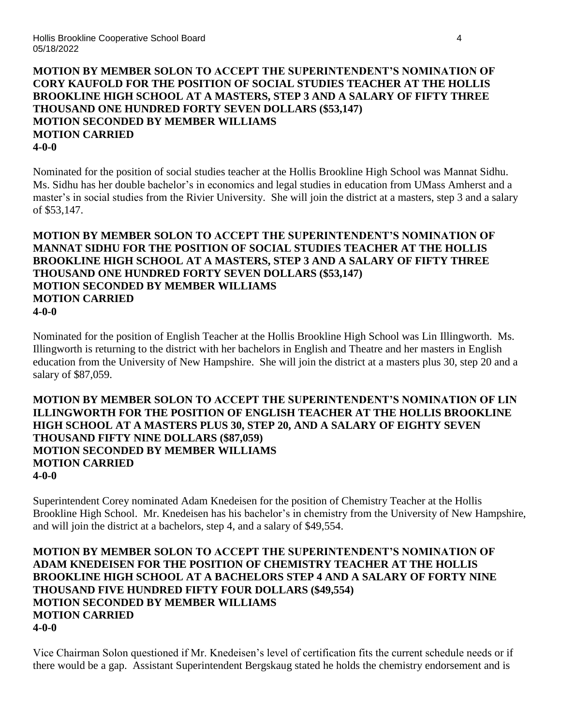# **MOTION BY MEMBER SOLON TO ACCEPT THE SUPERINTENDENT'S NOMINATION OF CORY KAUFOLD FOR THE POSITION OF SOCIAL STUDIES TEACHER AT THE HOLLIS BROOKLINE HIGH SCHOOL AT A MASTERS, STEP 3 AND A SALARY OF FIFTY THREE THOUSAND ONE HUNDRED FORTY SEVEN DOLLARS (\$53,147) MOTION SECONDED BY MEMBER WILLIAMS MOTION CARRIED 4-0-0**

Nominated for the position of social studies teacher at the Hollis Brookline High School was Mannat Sidhu. Ms. Sidhu has her double bachelor's in economics and legal studies in education from UMass Amherst and a master's in social studies from the Rivier University. She will join the district at a masters, step 3 and a salary of \$53,147.

### **MOTION BY MEMBER SOLON TO ACCEPT THE SUPERINTENDENT'S NOMINATION OF MANNAT SIDHU FOR THE POSITION OF SOCIAL STUDIES TEACHER AT THE HOLLIS BROOKLINE HIGH SCHOOL AT A MASTERS, STEP 3 AND A SALARY OF FIFTY THREE THOUSAND ONE HUNDRED FORTY SEVEN DOLLARS (\$53,147) MOTION SECONDED BY MEMBER WILLIAMS MOTION CARRIED 4-0-0**

Nominated for the position of English Teacher at the Hollis Brookline High School was Lin Illingworth. Ms. Illingworth is returning to the district with her bachelors in English and Theatre and her masters in English education from the University of New Hampshire. She will join the district at a masters plus 30, step 20 and a salary of \$87,059.

### **MOTION BY MEMBER SOLON TO ACCEPT THE SUPERINTENDENT'S NOMINATION OF LIN ILLINGWORTH FOR THE POSITION OF ENGLISH TEACHER AT THE HOLLIS BROOKLINE HIGH SCHOOL AT A MASTERS PLUS 30, STEP 20, AND A SALARY OF EIGHTY SEVEN THOUSAND FIFTY NINE DOLLARS (\$87,059) MOTION SECONDED BY MEMBER WILLIAMS MOTION CARRIED 4-0-0**

Superintendent Corey nominated Adam Knedeisen for the position of Chemistry Teacher at the Hollis Brookline High School. Mr. Knedeisen has his bachelor's in chemistry from the University of New Hampshire, and will join the district at a bachelors, step 4, and a salary of \$49,554.

### **MOTION BY MEMBER SOLON TO ACCEPT THE SUPERINTENDENT'S NOMINATION OF ADAM KNEDEISEN FOR THE POSITION OF CHEMISTRY TEACHER AT THE HOLLIS BROOKLINE HIGH SCHOOL AT A BACHELORS STEP 4 AND A SALARY OF FORTY NINE THOUSAND FIVE HUNDRED FIFTY FOUR DOLLARS (\$49,554) MOTION SECONDED BY MEMBER WILLIAMS MOTION CARRIED 4-0-0**

Vice Chairman Solon questioned if Mr. Knedeisen's level of certification fits the current schedule needs or if there would be a gap. Assistant Superintendent Bergskaug stated he holds the chemistry endorsement and is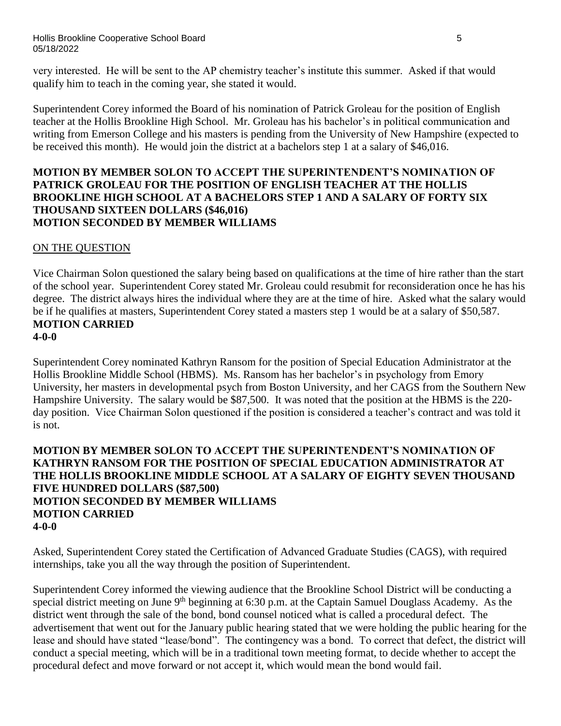very interested. He will be sent to the AP chemistry teacher's institute this summer. Asked if that would qualify him to teach in the coming year, she stated it would.

Superintendent Corey informed the Board of his nomination of Patrick Groleau for the position of English teacher at the Hollis Brookline High School. Mr. Groleau has his bachelor's in political communication and writing from Emerson College and his masters is pending from the University of New Hampshire (expected to be received this month). He would join the district at a bachelors step 1 at a salary of \$46,016.

### **MOTION BY MEMBER SOLON TO ACCEPT THE SUPERINTENDENT'S NOMINATION OF PATRICK GROLEAU FOR THE POSITION OF ENGLISH TEACHER AT THE HOLLIS BROOKLINE HIGH SCHOOL AT A BACHELORS STEP 1 AND A SALARY OF FORTY SIX THOUSAND SIXTEEN DOLLARS (\$46,016) MOTION SECONDED BY MEMBER WILLIAMS**

# ON THE QUESTION

Vice Chairman Solon questioned the salary being based on qualifications at the time of hire rather than the start of the school year. Superintendent Corey stated Mr. Groleau could resubmit for reconsideration once he has his degree. The district always hires the individual where they are at the time of hire. Asked what the salary would be if he qualifies at masters, Superintendent Corey stated a masters step 1 would be at a salary of \$50,587. **MOTION CARRIED**

#### **4-0-0**

Superintendent Corey nominated Kathryn Ransom for the position of Special Education Administrator at the Hollis Brookline Middle School (HBMS). Ms. Ransom has her bachelor's in psychology from Emory University, her masters in developmental psych from Boston University, and her CAGS from the Southern New Hampshire University. The salary would be \$87,500. It was noted that the position at the HBMS is the 220 day position. Vice Chairman Solon questioned if the position is considered a teacher's contract and was told it is not.

### **MOTION BY MEMBER SOLON TO ACCEPT THE SUPERINTENDENT'S NOMINATION OF KATHRYN RANSOM FOR THE POSITION OF SPECIAL EDUCATION ADMINISTRATOR AT THE HOLLIS BROOKLINE MIDDLE SCHOOL AT A SALARY OF EIGHTY SEVEN THOUSAND FIVE HUNDRED DOLLARS (\$87,500) MOTION SECONDED BY MEMBER WILLIAMS MOTION CARRIED 4-0-0**

Asked, Superintendent Corey stated the Certification of Advanced Graduate Studies (CAGS), with required internships, take you all the way through the position of Superintendent.

Superintendent Corey informed the viewing audience that the Brookline School District will be conducting a special district meeting on June 9<sup>th</sup> beginning at 6:30 p.m. at the Captain Samuel Douglass Academy. As the district went through the sale of the bond, bond counsel noticed what is called a procedural defect. The advertisement that went out for the January public hearing stated that we were holding the public hearing for the lease and should have stated "lease/bond". The contingency was a bond. To correct that defect, the district will conduct a special meeting, which will be in a traditional town meeting format, to decide whether to accept the procedural defect and move forward or not accept it, which would mean the bond would fail.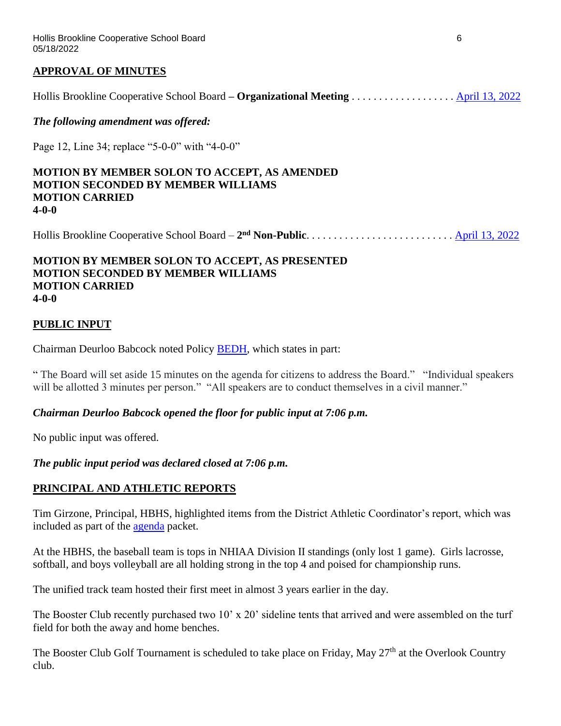### **APPROVAL OF MINUTES**

Hollis Brookline Cooperative School Board **– Organizational Meeting** . . . . . . . . . . . . . . . . . . . [April 13, 2022](https://www.sau41.org/docs/district/depts/110/4-13-22%20hbcoop%20sb%20draft%20mins.pdf?id=3051)

*The following amendment was offered:*

Page 12, Line 34; replace "5-0-0" with "4-0-0"

#### **MOTION BY MEMBER SOLON TO ACCEPT, AS AMENDED MOTION SECONDED BY MEMBER WILLIAMS MOTION CARRIED 4-0-0**

Hollis Brookline Cooperative School Board – **2 nd Non-Public**. . . . . . . . . . . . . . . . . . . . . . . . . . . [April 13, 2022](https://www.sau41.org/docs/district/depts/110/2022-04-13-hbcsb-2nd%20non-public-minutes-draft.pdf?id=3043)

#### **MOTION BY MEMBER SOLON TO ACCEPT, AS PRESENTED MOTION SECONDED BY MEMBER WILLIAMS MOTION CARRIED 4-0-0**

### **PUBLIC INPUT**

Chairman Deurloo Babcock noted Policy [BEDH,](http://z2policy.ctspublish.com/policy/browse/hollisbrooklineset/hollisbrookline/z20000032/JD_BEDH) which states in part:

" The Board will set aside 15 minutes on the agenda for citizens to address the Board." "Individual speakers will be allotted 3 minutes per person." "All speakers are to conduct themselves in a civil manner."

#### *Chairman Deurloo Babcock opened the floor for public input at 7:06 p.m.*

No public input was offered.

*The public input period was declared closed at 7:06 p.m.*

### **PRINCIPAL AND ATHLETIC REPORTS**

Tim Girzone, Principal, HBHS, highlighted items from the District Athletic Coordinator's report, which was included as part of the [agenda](https://www.sau41.org/docs/district/depts/110/hb%20coop%20agenda%20packet%205-18-22.pdf?id=3117) packet.

At the HBHS, the baseball team is tops in NHIAA Division II standings (only lost 1 game). Girls lacrosse, softball, and boys volleyball are all holding strong in the top 4 and poised for championship runs.

The unified track team hosted their first meet in almost 3 years earlier in the day.

The Booster Club recently purchased two 10' x 20' sideline tents that arrived and were assembled on the turf field for both the away and home benches.

The Booster Club Golf Tournament is scheduled to take place on Friday, May 27<sup>th</sup> at the Overlook Country club.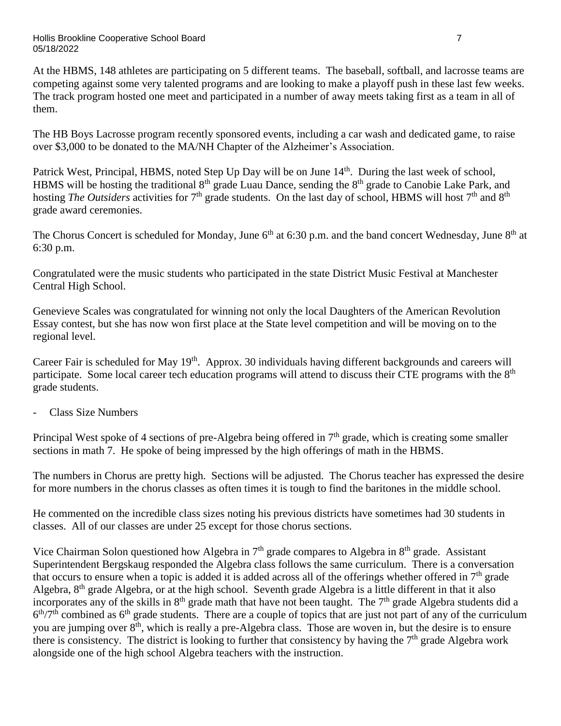At the HBMS, 148 athletes are participating on 5 different teams. The baseball, softball, and lacrosse teams are competing against some very talented programs and are looking to make a playoff push in these last few weeks. The track program hosted one meet and participated in a number of away meets taking first as a team in all of them.

The HB Boys Lacrosse program recently sponsored events, including a car wash and dedicated game, to raise over \$3,000 to be donated to the MA/NH Chapter of the Alzheimer's Association.

Patrick West, Principal, HBMS, noted Step Up Day will be on June 14<sup>th</sup>. During the last week of school, HBMS will be hosting the traditional 8<sup>th</sup> grade Luau Dance, sending the 8<sup>th</sup> grade to Canobie Lake Park, and hosting *The Outsiders* activities for 7<sup>th</sup> grade students. On the last day of school, HBMS will host 7<sup>th</sup> and 8<sup>th</sup> grade award ceremonies.

The Chorus Concert is scheduled for Monday, June 6<sup>th</sup> at 6:30 p.m. and the band concert Wednesday, June 8<sup>th</sup> at 6:30 p.m.

Congratulated were the music students who participated in the state District Music Festival at Manchester Central High School.

Genevieve Scales was congratulated for winning not only the local Daughters of the American Revolution Essay contest, but she has now won first place at the State level competition and will be moving on to the regional level.

Career Fair is scheduled for May 19<sup>th</sup>. Approx. 30 individuals having different backgrounds and careers will participate. Some local career tech education programs will attend to discuss their CTE programs with the 8<sup>th</sup> grade students.

- Class Size Numbers

Principal West spoke of 4 sections of pre-Algebra being offered in  $7<sup>th</sup>$  grade, which is creating some smaller sections in math 7. He spoke of being impressed by the high offerings of math in the HBMS.

The numbers in Chorus are pretty high. Sections will be adjusted. The Chorus teacher has expressed the desire for more numbers in the chorus classes as often times it is tough to find the baritones in the middle school.

He commented on the incredible class sizes noting his previous districts have sometimes had 30 students in classes. All of our classes are under 25 except for those chorus sections.

Vice Chairman Solon questioned how Algebra in  $7<sup>th</sup>$  grade compares to Algebra in  $8<sup>th</sup>$  grade. Assistant Superintendent Bergskaug responded the Algebra class follows the same curriculum. There is a conversation that occurs to ensure when a topic is added it is added across all of the offerings whether offered in  $7<sup>th</sup>$  grade Algebra, 8th grade Algebra, or at the high school. Seventh grade Algebra is a little different in that it also incorporates any of the skills in  $8<sup>th</sup>$  grade math that have not been taught. The  $7<sup>th</sup>$  grade Algebra students did a  $6<sup>th</sup>/7<sup>th</sup>$  combined as  $6<sup>th</sup>$  grade students. There are a couple of topics that are just not part of any of the curriculum you are jumping over 8th, which is really a pre-Algebra class. Those are woven in, but the desire is to ensure there is consistency. The district is looking to further that consistency by having the  $7<sup>th</sup>$  grade Algebra work alongside one of the high school Algebra teachers with the instruction.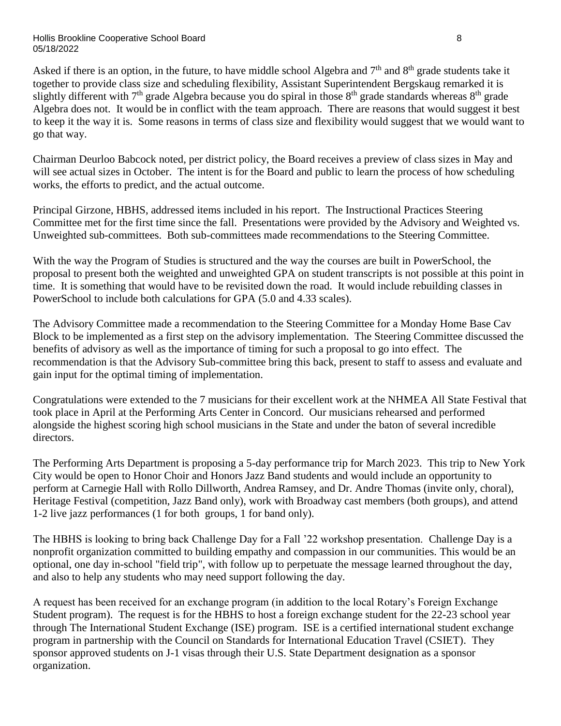Asked if there is an option, in the future, to have middle school Algebra and  $7<sup>th</sup>$  and  $8<sup>th</sup>$  grade students take it together to provide class size and scheduling flexibility, Assistant Superintendent Bergskaug remarked it is slightly different with  $7<sup>th</sup>$  grade Algebra because you do spiral in those  $8<sup>th</sup>$  grade standards whereas  $8<sup>th</sup>$  grade Algebra does not. It would be in conflict with the team approach. There are reasons that would suggest it best to keep it the way it is. Some reasons in terms of class size and flexibility would suggest that we would want to go that way.

Chairman Deurloo Babcock noted, per district policy, the Board receives a preview of class sizes in May and will see actual sizes in October. The intent is for the Board and public to learn the process of how scheduling works, the efforts to predict, and the actual outcome.

Principal Girzone, HBHS, addressed items included in his report. The Instructional Practices Steering Committee met for the first time since the fall. Presentations were provided by the Advisory and Weighted vs. Unweighted sub-committees. Both sub-committees made recommendations to the Steering Committee.

With the way the Program of Studies is structured and the way the courses are built in PowerSchool, the proposal to present both the weighted and unweighted GPA on student transcripts is not possible at this point in time. It is something that would have to be revisited down the road. It would include rebuilding classes in PowerSchool to include both calculations for GPA (5.0 and 4.33 scales).

The Advisory Committee made a recommendation to the Steering Committee for a Monday Home Base Cav Block to be implemented as a first step on the advisory implementation. The Steering Committee discussed the benefits of advisory as well as the importance of timing for such a proposal to go into effect. The recommendation is that the Advisory Sub-committee bring this back, present to staff to assess and evaluate and gain input for the optimal timing of implementation.

Congratulations were extended to the 7 musicians for their excellent work at the NHMEA All State Festival that took place in April at the Performing Arts Center in Concord. Our musicians rehearsed and performed alongside the highest scoring high school musicians in the State and under the baton of several incredible directors.

The Performing Arts Department is proposing a 5-day performance trip for March 2023. This trip to New York City would be open to Honor Choir and Honors Jazz Band students and would include an opportunity to perform at Carnegie Hall with Rollo Dillworth, Andrea Ramsey, and Dr. Andre Thomas (invite only, choral), Heritage Festival (competition, Jazz Band only), work with Broadway cast members (both groups), and attend 1-2 live jazz performances (1 for both groups, 1 for band only).

The HBHS is looking to bring back Challenge Day for a Fall '22 workshop presentation. Challenge Day is a nonprofit organization committed to building empathy and compassion in our communities. This would be an optional, one day in-school "field trip", with follow up to perpetuate the message learned throughout the day, and also to help any students who may need support following the day.

A request has been received for an exchange program (in addition to the local Rotary's Foreign Exchange Student program). The request is for the HBHS to host a foreign exchange student for the 22-23 school year through The International Student Exchange (ISE) program. ISE is a certified international student exchange program in partnership with the Council on Standards for International Education Travel (CSIET). They sponsor approved students on J-1 visas through their U.S. State Department designation as a sponsor organization.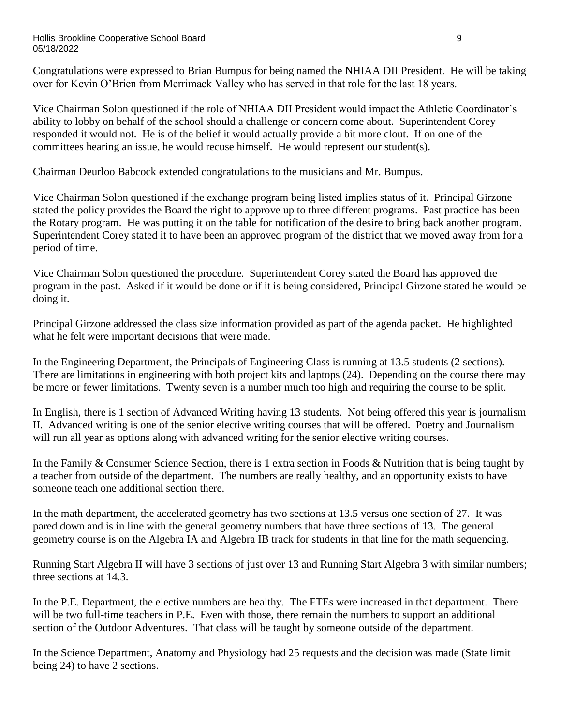#### Hollis Brookline Cooperative School Board 9 05/18/2022

Congratulations were expressed to Brian Bumpus for being named the NHIAA DII President. He will be taking over for Kevin O'Brien from Merrimack Valley who has served in that role for the last 18 years.

Vice Chairman Solon questioned if the role of NHIAA DII President would impact the Athletic Coordinator's ability to lobby on behalf of the school should a challenge or concern come about. Superintendent Corey responded it would not. He is of the belief it would actually provide a bit more clout. If on one of the committees hearing an issue, he would recuse himself. He would represent our student(s).

Chairman Deurloo Babcock extended congratulations to the musicians and Mr. Bumpus.

Vice Chairman Solon questioned if the exchange program being listed implies status of it. Principal Girzone stated the policy provides the Board the right to approve up to three different programs. Past practice has been the Rotary program. He was putting it on the table for notification of the desire to bring back another program. Superintendent Corey stated it to have been an approved program of the district that we moved away from for a period of time.

Vice Chairman Solon questioned the procedure. Superintendent Corey stated the Board has approved the program in the past. Asked if it would be done or if it is being considered, Principal Girzone stated he would be doing it.

Principal Girzone addressed the class size information provided as part of the agenda packet. He highlighted what he felt were important decisions that were made.

In the Engineering Department, the Principals of Engineering Class is running at 13.5 students (2 sections). There are limitations in engineering with both project kits and laptops (24). Depending on the course there may be more or fewer limitations. Twenty seven is a number much too high and requiring the course to be split.

In English, there is 1 section of Advanced Writing having 13 students. Not being offered this year is journalism II. Advanced writing is one of the senior elective writing courses that will be offered. Poetry and Journalism will run all year as options along with advanced writing for the senior elective writing courses.

In the Family & Consumer Science Section, there is 1 extra section in Foods & Nutrition that is being taught by a teacher from outside of the department. The numbers are really healthy, and an opportunity exists to have someone teach one additional section there.

In the math department, the accelerated geometry has two sections at 13.5 versus one section of 27. It was pared down and is in line with the general geometry numbers that have three sections of 13. The general geometry course is on the Algebra IA and Algebra IB track for students in that line for the math sequencing.

Running Start Algebra II will have 3 sections of just over 13 and Running Start Algebra 3 with similar numbers; three sections at 14.3.

In the P.E. Department, the elective numbers are healthy. The FTEs were increased in that department. There will be two full-time teachers in P.E. Even with those, there remain the numbers to support an additional section of the Outdoor Adventures. That class will be taught by someone outside of the department.

In the Science Department, Anatomy and Physiology had 25 requests and the decision was made (State limit being 24) to have 2 sections.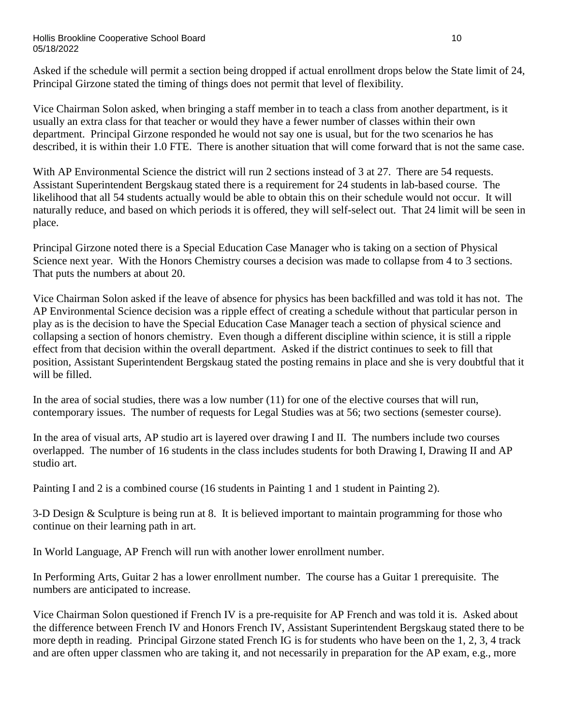#### Hollis Brookline Cooperative School Board 10 05/18/2022

Asked if the schedule will permit a section being dropped if actual enrollment drops below the State limit of 24, Principal Girzone stated the timing of things does not permit that level of flexibility.

Vice Chairman Solon asked, when bringing a staff member in to teach a class from another department, is it usually an extra class for that teacher or would they have a fewer number of classes within their own department. Principal Girzone responded he would not say one is usual, but for the two scenarios he has described, it is within their 1.0 FTE. There is another situation that will come forward that is not the same case.

With AP Environmental Science the district will run 2 sections instead of 3 at 27. There are 54 requests. Assistant Superintendent Bergskaug stated there is a requirement for 24 students in lab-based course. The likelihood that all 54 students actually would be able to obtain this on their schedule would not occur. It will naturally reduce, and based on which periods it is offered, they will self-select out. That 24 limit will be seen in place.

Principal Girzone noted there is a Special Education Case Manager who is taking on a section of Physical Science next year. With the Honors Chemistry courses a decision was made to collapse from 4 to 3 sections. That puts the numbers at about 20.

Vice Chairman Solon asked if the leave of absence for physics has been backfilled and was told it has not. The AP Environmental Science decision was a ripple effect of creating a schedule without that particular person in play as is the decision to have the Special Education Case Manager teach a section of physical science and collapsing a section of honors chemistry. Even though a different discipline within science, it is still a ripple effect from that decision within the overall department. Asked if the district continues to seek to fill that position, Assistant Superintendent Bergskaug stated the posting remains in place and she is very doubtful that it will be filled.

In the area of social studies, there was a low number (11) for one of the elective courses that will run, contemporary issues. The number of requests for Legal Studies was at 56; two sections (semester course).

In the area of visual arts, AP studio art is layered over drawing I and II. The numbers include two courses overlapped. The number of 16 students in the class includes students for both Drawing I, Drawing II and AP studio art.

Painting I and 2 is a combined course (16 students in Painting 1 and 1 student in Painting 2).

3-D Design & Sculpture is being run at 8. It is believed important to maintain programming for those who continue on their learning path in art.

In World Language, AP French will run with another lower enrollment number.

In Performing Arts, Guitar 2 has a lower enrollment number. The course has a Guitar 1 prerequisite. The numbers are anticipated to increase.

Vice Chairman Solon questioned if French IV is a pre-requisite for AP French and was told it is. Asked about the difference between French IV and Honors French IV, Assistant Superintendent Bergskaug stated there to be more depth in reading. Principal Girzone stated French IG is for students who have been on the 1, 2, 3, 4 track and are often upper classmen who are taking it, and not necessarily in preparation for the AP exam, e.g., more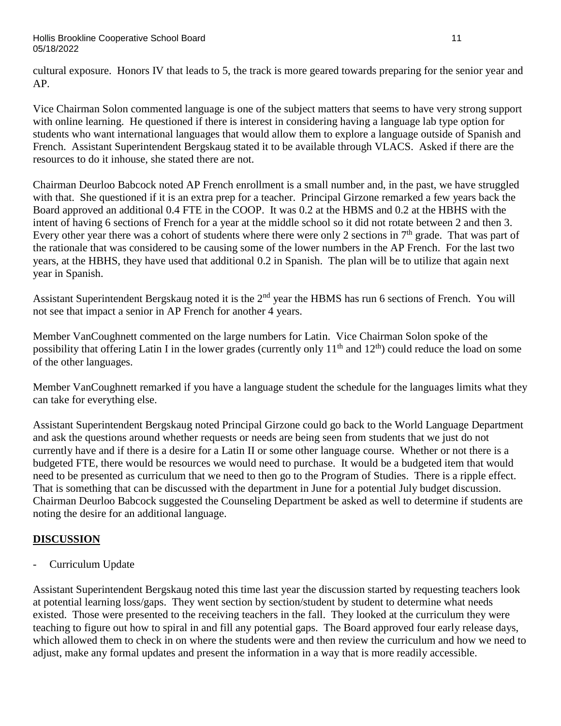cultural exposure. Honors IV that leads to 5, the track is more geared towards preparing for the senior year and AP.

Vice Chairman Solon commented language is one of the subject matters that seems to have very strong support with online learning. He questioned if there is interest in considering having a language lab type option for students who want international languages that would allow them to explore a language outside of Spanish and French. Assistant Superintendent Bergskaug stated it to be available through VLACS. Asked if there are the resources to do it inhouse, she stated there are not.

Chairman Deurloo Babcock noted AP French enrollment is a small number and, in the past, we have struggled with that. She questioned if it is an extra prep for a teacher. Principal Girzone remarked a few years back the Board approved an additional 0.4 FTE in the COOP. It was 0.2 at the HBMS and 0.2 at the HBHS with the intent of having 6 sections of French for a year at the middle school so it did not rotate between 2 and then 3. Every other year there was a cohort of students where there were only 2 sections in 7<sup>th</sup> grade. That was part of the rationale that was considered to be causing some of the lower numbers in the AP French. For the last two years, at the HBHS, they have used that additional 0.2 in Spanish. The plan will be to utilize that again next year in Spanish.

Assistant Superintendent Bergskaug noted it is the 2<sup>nd</sup> year the HBMS has run 6 sections of French. You will not see that impact a senior in AP French for another 4 years.

Member VanCoughnett commented on the large numbers for Latin. Vice Chairman Solon spoke of the possibility that offering Latin I in the lower grades (currently only  $11<sup>th</sup>$  and  $12<sup>th</sup>$ ) could reduce the load on some of the other languages.

Member VanCoughnett remarked if you have a language student the schedule for the languages limits what they can take for everything else.

Assistant Superintendent Bergskaug noted Principal Girzone could go back to the World Language Department and ask the questions around whether requests or needs are being seen from students that we just do not currently have and if there is a desire for a Latin II or some other language course. Whether or not there is a budgeted FTE, there would be resources we would need to purchase. It would be a budgeted item that would need to be presented as curriculum that we need to then go to the Program of Studies. There is a ripple effect. That is something that can be discussed with the department in June for a potential July budget discussion. Chairman Deurloo Babcock suggested the Counseling Department be asked as well to determine if students are noting the desire for an additional language.

# **DISCUSSION**

Curriculum Update

Assistant Superintendent Bergskaug noted this time last year the discussion started by requesting teachers look at potential learning loss/gaps. They went section by section/student by student to determine what needs existed. Those were presented to the receiving teachers in the fall. They looked at the curriculum they were teaching to figure out how to spiral in and fill any potential gaps. The Board approved four early release days, which allowed them to check in on where the students were and then review the curriculum and how we need to adjust, make any formal updates and present the information in a way that is more readily accessible.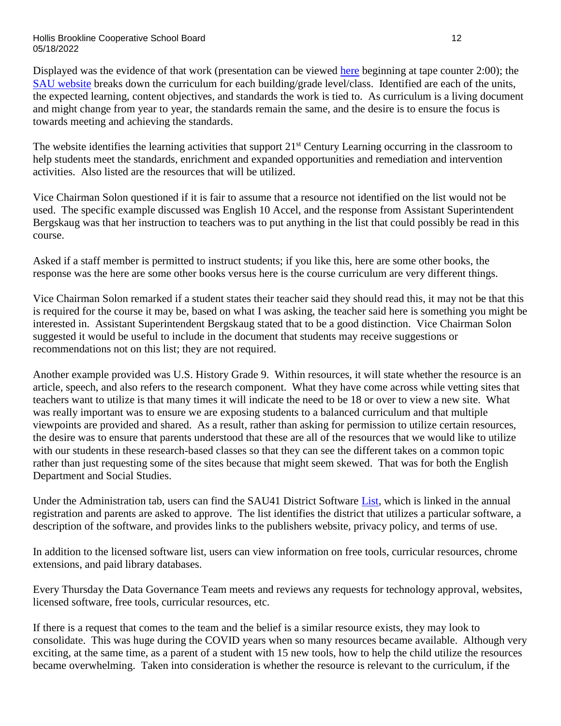#### Hollis Brookline Cooperative School Board 12 05/18/2022

Displayed was the evidence of that work (presentation can be viewed [here](https://www.youtube.com/watch?v=qhga2r2tzPM) beginning at tape counter 2:00); the [SAU website](https://sites.google.com/sau41.org/sau41-curriculum-by-course/home) breaks down the curriculum for each building/grade level/class. Identified are each of the units, the expected learning, content objectives, and standards the work is tied to. As curriculum is a living document and might change from year to year, the standards remain the same, and the desire is to ensure the focus is towards meeting and achieving the standards.

The website identifies the learning activities that support 21<sup>st</sup> Century Learning occurring in the classroom to help students meet the standards, enrichment and expanded opportunities and remediation and intervention activities. Also listed are the resources that will be utilized.

Vice Chairman Solon questioned if it is fair to assume that a resource not identified on the list would not be used. The specific example discussed was English 10 Accel, and the response from Assistant Superintendent Bergskaug was that her instruction to teachers was to put anything in the list that could possibly be read in this course.

Asked if a staff member is permitted to instruct students; if you like this, here are some other books, the response was the here are some other books versus here is the course curriculum are very different things.

Vice Chairman Solon remarked if a student states their teacher said they should read this, it may not be that this is required for the course it may be, based on what I was asking, the teacher said here is something you might be interested in. Assistant Superintendent Bergskaug stated that to be a good distinction. Vice Chairman Solon suggested it would be useful to include in the document that students may receive suggestions or recommendations not on this list; they are not required.

Another example provided was U.S. History Grade 9. Within resources, it will state whether the resource is an article, speech, and also refers to the research component. What they have come across while vetting sites that teachers want to utilize is that many times it will indicate the need to be 18 or over to view a new site. What was really important was to ensure we are exposing students to a balanced curriculum and that multiple viewpoints are provided and shared. As a result, rather than asking for permission to utilize certain resources, the desire was to ensure that parents understood that these are all of the resources that we would like to utilize with our students in these research-based classes so that they can see the different takes on a common topic rather than just requesting some of the sites because that might seem skewed. That was for both the English Department and Social Studies.

Under the Administration tab, users can find the SAU41 District Software [List,](https://www.sau41.org/Content2/sau41-software-list) which is linked in the annual registration and parents are asked to approve. The list identifies the district that utilizes a particular software, a description of the software, and provides links to the publishers website, privacy policy, and terms of use.

In addition to the licensed software list, users can view information on free tools, curricular resources, chrome extensions, and paid library databases.

Every Thursday the Data Governance Team meets and reviews any requests for technology approval, websites, licensed software, free tools, curricular resources, etc.

If there is a request that comes to the team and the belief is a similar resource exists, they may look to consolidate. This was huge during the COVID years when so many resources became available. Although very exciting, at the same time, as a parent of a student with 15 new tools, how to help the child utilize the resources became overwhelming. Taken into consideration is whether the resource is relevant to the curriculum, if the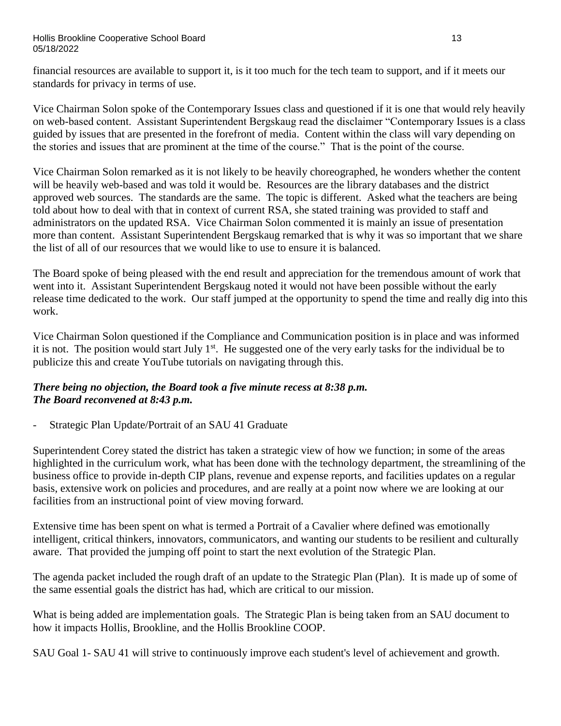financial resources are available to support it, is it too much for the tech team to support, and if it meets our standards for privacy in terms of use.

Vice Chairman Solon spoke of the Contemporary Issues class and questioned if it is one that would rely heavily on web-based content. Assistant Superintendent Bergskaug read the disclaimer "Contemporary Issues is a class guided by issues that are presented in the forefront of media. Content within the class will vary depending on the stories and issues that are prominent at the time of the course." That is the point of the course.

Vice Chairman Solon remarked as it is not likely to be heavily choreographed, he wonders whether the content will be heavily web-based and was told it would be. Resources are the library databases and the district approved web sources. The standards are the same. The topic is different. Asked what the teachers are being told about how to deal with that in context of current RSA, she stated training was provided to staff and administrators on the updated RSA. Vice Chairman Solon commented it is mainly an issue of presentation more than content. Assistant Superintendent Bergskaug remarked that is why it was so important that we share the list of all of our resources that we would like to use to ensure it is balanced.

The Board spoke of being pleased with the end result and appreciation for the tremendous amount of work that went into it. Assistant Superintendent Bergskaug noted it would not have been possible without the early release time dedicated to the work. Our staff jumped at the opportunity to spend the time and really dig into this work.

Vice Chairman Solon questioned if the Compliance and Communication position is in place and was informed it is not. The position would start July  $1<sup>st</sup>$ . He suggested one of the very early tasks for the individual be to publicize this and create YouTube tutorials on navigating through this.

# *There being no objection, the Board took a five minute recess at 8:38 p.m. The Board reconvened at 8:43 p.m.*

Strategic Plan Update/Portrait of an SAU 41 Graduate

Superintendent Corey stated the district has taken a strategic view of how we function; in some of the areas highlighted in the curriculum work, what has been done with the technology department, the streamlining of the business office to provide in-depth CIP plans, revenue and expense reports, and facilities updates on a regular basis, extensive work on policies and procedures, and are really at a point now where we are looking at our facilities from an instructional point of view moving forward.

Extensive time has been spent on what is termed a Portrait of a Cavalier where defined was emotionally intelligent, critical thinkers, innovators, communicators, and wanting our students to be resilient and culturally aware. That provided the jumping off point to start the next evolution of the Strategic Plan.

The agenda packet included the rough draft of an update to the Strategic Plan (Plan). It is made up of some of the same essential goals the district has had, which are critical to our mission.

What is being added are implementation goals. The Strategic Plan is being taken from an SAU document to how it impacts Hollis, Brookline, and the Hollis Brookline COOP.

SAU Goal 1- SAU 41 will strive to continuously improve each student's level of achievement and growth.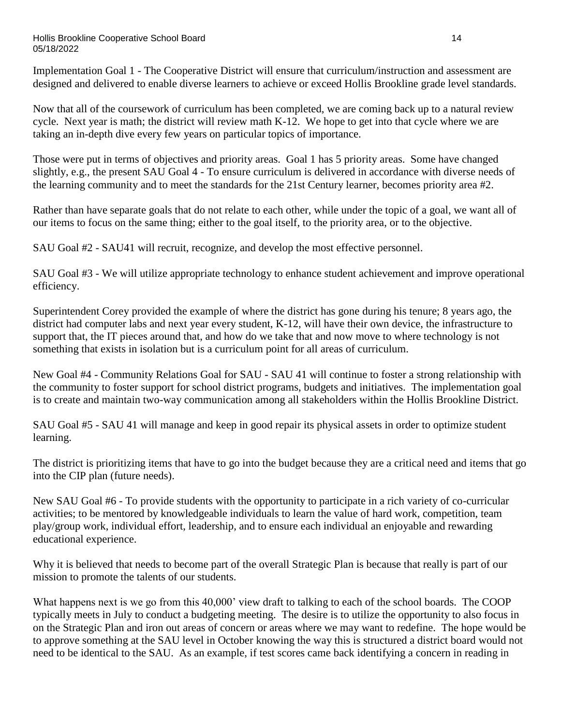Implementation Goal 1 - The Cooperative District will ensure that curriculum/instruction and assessment are designed and delivered to enable diverse learners to achieve or exceed Hollis Brookline grade level standards.

Now that all of the coursework of curriculum has been completed, we are coming back up to a natural review cycle. Next year is math; the district will review math K-12. We hope to get into that cycle where we are taking an in-depth dive every few years on particular topics of importance.

Those were put in terms of objectives and priority areas. Goal 1 has 5 priority areas. Some have changed slightly, e.g., the present SAU Goal 4 - To ensure curriculum is delivered in accordance with diverse needs of the learning community and to meet the standards for the 21st Century learner, becomes priority area #2.

Rather than have separate goals that do not relate to each other, while under the topic of a goal, we want all of our items to focus on the same thing; either to the goal itself, to the priority area, or to the objective.

SAU Goal #2 - SAU41 will recruit, recognize, and develop the most effective personnel.

SAU Goal #3 - We will utilize appropriate technology to enhance student achievement and improve operational efficiency.

Superintendent Corey provided the example of where the district has gone during his tenure; 8 years ago, the district had computer labs and next year every student, K-12, will have their own device, the infrastructure to support that, the IT pieces around that, and how do we take that and now move to where technology is not something that exists in isolation but is a curriculum point for all areas of curriculum.

New Goal #4 - Community Relations Goal for SAU - SAU 41 will continue to foster a strong relationship with the community to foster support for school district programs, budgets and initiatives. The implementation goal is to create and maintain two-way communication among all stakeholders within the Hollis Brookline District.

SAU Goal #5 - SAU 41 will manage and keep in good repair its physical assets in order to optimize student learning.

The district is prioritizing items that have to go into the budget because they are a critical need and items that go into the CIP plan (future needs).

New SAU Goal #6 - To provide students with the opportunity to participate in a rich variety of co-curricular activities; to be mentored by knowledgeable individuals to learn the value of hard work, competition, team play/group work, individual effort, leadership, and to ensure each individual an enjoyable and rewarding educational experience.

Why it is believed that needs to become part of the overall Strategic Plan is because that really is part of our mission to promote the talents of our students.

What happens next is we go from this 40,000' view draft to talking to each of the school boards. The COOP typically meets in July to conduct a budgeting meeting. The desire is to utilize the opportunity to also focus in on the Strategic Plan and iron out areas of concern or areas where we may want to redefine. The hope would be to approve something at the SAU level in October knowing the way this is structured a district board would not need to be identical to the SAU. As an example, if test scores came back identifying a concern in reading in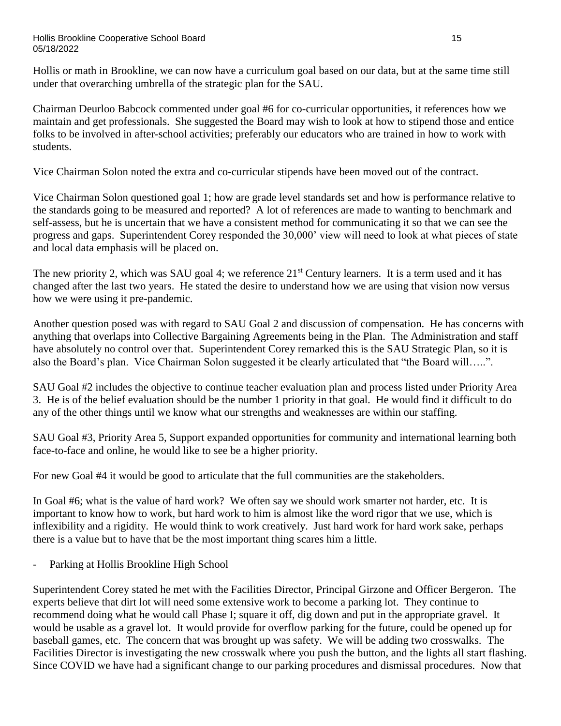Hollis or math in Brookline, we can now have a curriculum goal based on our data, but at the same time still under that overarching umbrella of the strategic plan for the SAU.

Chairman Deurloo Babcock commented under goal #6 for co-curricular opportunities, it references how we maintain and get professionals. She suggested the Board may wish to look at how to stipend those and entice folks to be involved in after-school activities; preferably our educators who are trained in how to work with students.

Vice Chairman Solon noted the extra and co-curricular stipends have been moved out of the contract.

Vice Chairman Solon questioned goal 1; how are grade level standards set and how is performance relative to the standards going to be measured and reported? A lot of references are made to wanting to benchmark and self-assess, but he is uncertain that we have a consistent method for communicating it so that we can see the progress and gaps. Superintendent Corey responded the 30,000' view will need to look at what pieces of state and local data emphasis will be placed on.

The new priority 2, which was SAU goal 4; we reference  $21<sup>st</sup>$  Century learners. It is a term used and it has changed after the last two years. He stated the desire to understand how we are using that vision now versus how we were using it pre-pandemic.

Another question posed was with regard to SAU Goal 2 and discussion of compensation. He has concerns with anything that overlaps into Collective Bargaining Agreements being in the Plan. The Administration and staff have absolutely no control over that. Superintendent Corey remarked this is the SAU Strategic Plan, so it is also the Board's plan. Vice Chairman Solon suggested it be clearly articulated that "the Board will…..".

SAU Goal #2 includes the objective to continue teacher evaluation plan and process listed under Priority Area 3. He is of the belief evaluation should be the number 1 priority in that goal. He would find it difficult to do any of the other things until we know what our strengths and weaknesses are within our staffing.

SAU Goal #3, Priority Area 5, Support expanded opportunities for community and international learning both face-to-face and online, he would like to see be a higher priority.

For new Goal #4 it would be good to articulate that the full communities are the stakeholders.

In Goal #6; what is the value of hard work? We often say we should work smarter not harder, etc. It is important to know how to work, but hard work to him is almost like the word rigor that we use, which is inflexibility and a rigidity. He would think to work creatively. Just hard work for hard work sake, perhaps there is a value but to have that be the most important thing scares him a little.

Parking at Hollis Brookline High School

Superintendent Corey stated he met with the Facilities Director, Principal Girzone and Officer Bergeron. The experts believe that dirt lot will need some extensive work to become a parking lot. They continue to recommend doing what he would call Phase I; square it off, dig down and put in the appropriate gravel. It would be usable as a gravel lot. It would provide for overflow parking for the future, could be opened up for baseball games, etc. The concern that was brought up was safety. We will be adding two crosswalks. The Facilities Director is investigating the new crosswalk where you push the button, and the lights all start flashing. Since COVID we have had a significant change to our parking procedures and dismissal procedures. Now that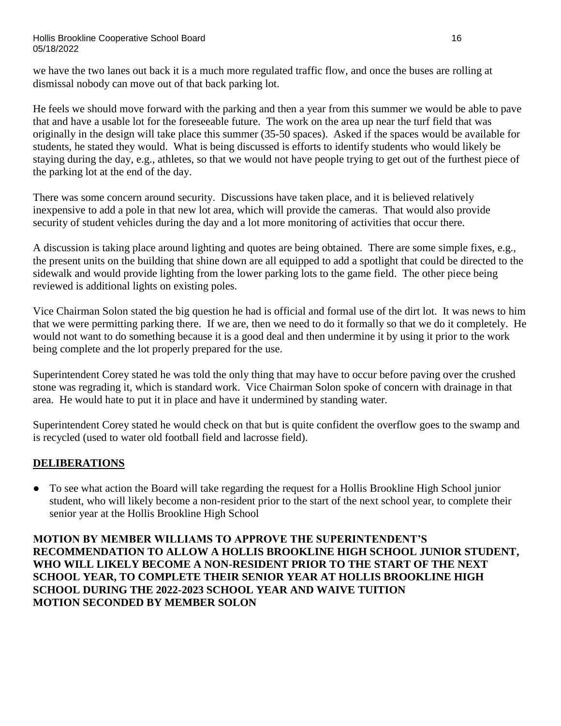we have the two lanes out back it is a much more regulated traffic flow, and once the buses are rolling at dismissal nobody can move out of that back parking lot.

He feels we should move forward with the parking and then a year from this summer we would be able to pave that and have a usable lot for the foreseeable future. The work on the area up near the turf field that was originally in the design will take place this summer (35-50 spaces). Asked if the spaces would be available for students, he stated they would. What is being discussed is efforts to identify students who would likely be staying during the day, e.g., athletes, so that we would not have people trying to get out of the furthest piece of the parking lot at the end of the day.

There was some concern around security. Discussions have taken place, and it is believed relatively inexpensive to add a pole in that new lot area, which will provide the cameras. That would also provide security of student vehicles during the day and a lot more monitoring of activities that occur there.

A discussion is taking place around lighting and quotes are being obtained. There are some simple fixes, e.g., the present units on the building that shine down are all equipped to add a spotlight that could be directed to the sidewalk and would provide lighting from the lower parking lots to the game field. The other piece being reviewed is additional lights on existing poles.

Vice Chairman Solon stated the big question he had is official and formal use of the dirt lot. It was news to him that we were permitting parking there. If we are, then we need to do it formally so that we do it completely. He would not want to do something because it is a good deal and then undermine it by using it prior to the work being complete and the lot properly prepared for the use.

Superintendent Corey stated he was told the only thing that may have to occur before paving over the crushed stone was regrading it, which is standard work. Vice Chairman Solon spoke of concern with drainage in that area. He would hate to put it in place and have it undermined by standing water.

Superintendent Corey stated he would check on that but is quite confident the overflow goes to the swamp and is recycled (used to water old football field and lacrosse field).

# **DELIBERATIONS**

● To see what action the Board will take regarding the request for a Hollis Brookline High School junior student, who will likely become a non-resident prior to the start of the next school year, to complete their senior year at the Hollis Brookline High School

**MOTION BY MEMBER WILLIAMS TO APPROVE THE SUPERINTENDENT'S RECOMMENDATION TO ALLOW A HOLLIS BROOKLINE HIGH SCHOOL JUNIOR STUDENT, WHO WILL LIKELY BECOME A NON-RESIDENT PRIOR TO THE START OF THE NEXT SCHOOL YEAR, TO COMPLETE THEIR SENIOR YEAR AT HOLLIS BROOKLINE HIGH SCHOOL DURING THE 2022-2023 SCHOOL YEAR AND WAIVE TUITION MOTION SECONDED BY MEMBER SOLON**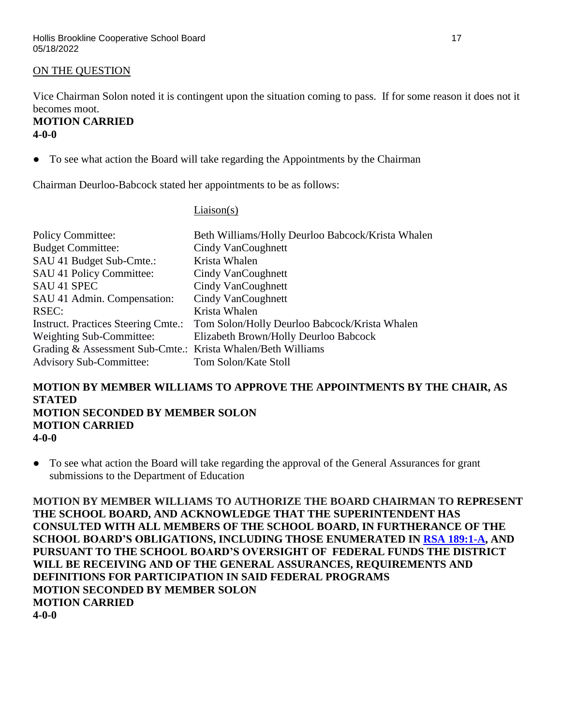### ON THE QUESTION

Vice Chairman Solon noted it is contingent upon the situation coming to pass. If for some reason it does not it becomes moot.

#### **MOTION CARRIED 4-0-0**

● To see what action the Board will take regarding the Appointments by the Chairman

Chairman Deurloo-Babcock stated her appointments to be as follows:

#### Liaison(s)

| <b>Policy Committee:</b>                                    | Beth Williams/Holly Deurloo Babcock/Krista Whalen |
|-------------------------------------------------------------|---------------------------------------------------|
| <b>Budget Committee:</b>                                    | Cindy VanCoughnett                                |
| SAU 41 Budget Sub-Cmte.:                                    | Krista Whalen                                     |
| SAU 41 Policy Committee:                                    | Cindy VanCoughnett                                |
| <b>SAU 41 SPEC</b>                                          | Cindy VanCoughnett                                |
| SAU 41 Admin. Compensation:                                 | Cindy VanCoughnett                                |
| RSEC:                                                       | Krista Whalen                                     |
| <b>Instruct. Practices Steering Cmte.:</b>                  | Tom Solon/Holly Deurloo Babcock/Krista Whalen     |
| Weighting Sub-Committee:                                    | Elizabeth Brown/Holly Deurloo Babcock             |
| Grading & Assessment Sub-Cmte.: Krista Whalen/Beth Williams |                                                   |
| <b>Advisory Sub-Committee:</b>                              | Tom Solon/Kate Stoll                              |

#### **MOTION BY MEMBER WILLIAMS TO APPROVE THE APPOINTMENTS BY THE CHAIR, AS STATED MOTION SECONDED BY MEMBER SOLON MOTION CARRIED 4-0-0**

● To see what action the Board will take regarding the approval of the General Assurances for grant submissions to the Department of Education

**MOTION BY MEMBER WILLIAMS TO AUTHORIZE THE BOARD CHAIRMAN TO REPRESENT THE SCHOOL BOARD, AND ACKNOWLEDGE THAT THE SUPERINTENDENT HAS CONSULTED WITH ALL MEMBERS OF THE SCHOOL BOARD, IN FURTHERANCE OF THE SCHOOL BOARD'S OBLIGATIONS, INCLUDING THOSE ENUMERATED IN [RSA 189:1-A,](http://www.gencourt.state.nh.us/rsa/html/XV/189/189-1-a.htm) AND PURSUANT TO THE SCHOOL BOARD'S OVERSIGHT OF FEDERAL FUNDS THE DISTRICT WILL BE RECEIVING AND OF THE GENERAL ASSURANCES, REQUIREMENTS AND DEFINITIONS FOR PARTICIPATION IN SAID FEDERAL PROGRAMS MOTION SECONDED BY MEMBER SOLON MOTION CARRIED 4-0-0**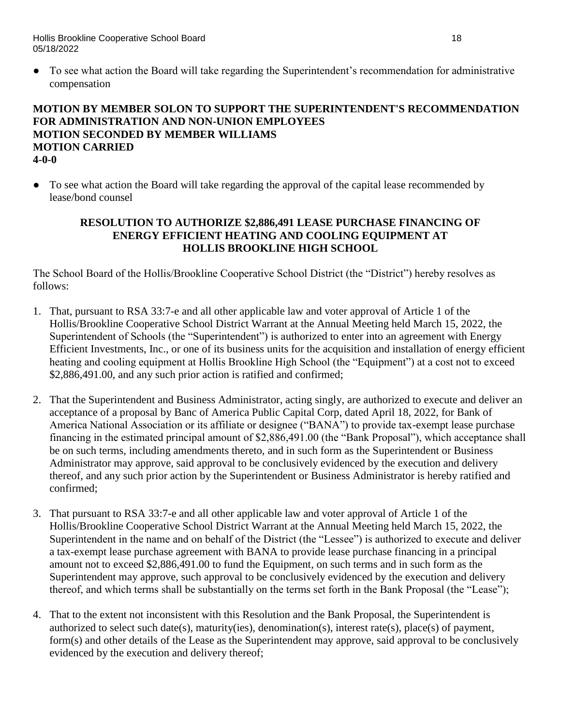Hollis Brookline Cooperative School Board 18 05/18/2022

● To see what action the Board will take regarding the Superintendent's recommendation for administrative compensation

### **MOTION BY MEMBER SOLON TO SUPPORT THE SUPERINTENDENT'S RECOMMENDATION FOR ADMINISTRATION AND NON-UNION EMPLOYEES MOTION SECONDED BY MEMBER WILLIAMS MOTION CARRIED 4-0-0**

• To see what action the Board will take regarding the approval of the capital lease recommended by lease/bond counsel

### **RESOLUTION TO AUTHORIZE \$2,886,491 LEASE PURCHASE FINANCING OF ENERGY EFFICIENT HEATING AND COOLING EQUIPMENT AT HOLLIS BROOKLINE HIGH SCHOOL**

The School Board of the Hollis/Brookline Cooperative School District (the "District") hereby resolves as follows:

- 1. That, pursuant to RSA 33:7-e and all other applicable law and voter approval of Article 1 of the Hollis/Brookline Cooperative School District Warrant at the Annual Meeting held March 15, 2022, the Superintendent of Schools (the "Superintendent") is authorized to enter into an agreement with Energy Efficient Investments, Inc., or one of its business units for the acquisition and installation of energy efficient heating and cooling equipment at Hollis Brookline High School (the "Equipment") at a cost not to exceed \$2,886,491.00, and any such prior action is ratified and confirmed;
- 2. That the Superintendent and Business Administrator, acting singly, are authorized to execute and deliver an acceptance of a proposal by Banc of America Public Capital Corp, dated April 18, 2022, for Bank of America National Association or its affiliate or designee ("BANA") to provide tax-exempt lease purchase financing in the estimated principal amount of \$2,886,491.00 (the "Bank Proposal"), which acceptance shall be on such terms, including amendments thereto, and in such form as the Superintendent or Business Administrator may approve, said approval to be conclusively evidenced by the execution and delivery thereof, and any such prior action by the Superintendent or Business Administrator is hereby ratified and confirmed;
- 3. That pursuant to RSA 33:7-e and all other applicable law and voter approval of Article 1 of the Hollis/Brookline Cooperative School District Warrant at the Annual Meeting held March 15, 2022, the Superintendent in the name and on behalf of the District (the "Lessee") is authorized to execute and deliver a tax-exempt lease purchase agreement with BANA to provide lease purchase financing in a principal amount not to exceed \$2,886,491.00 to fund the Equipment, on such terms and in such form as the Superintendent may approve, such approval to be conclusively evidenced by the execution and delivery thereof, and which terms shall be substantially on the terms set forth in the Bank Proposal (the "Lease");
- 4. That to the extent not inconsistent with this Resolution and the Bank Proposal, the Superintendent is authorized to select such date(s), maturity(ies), denomination(s), interest rate(s), place(s) of payment, form(s) and other details of the Lease as the Superintendent may approve, said approval to be conclusively evidenced by the execution and delivery thereof;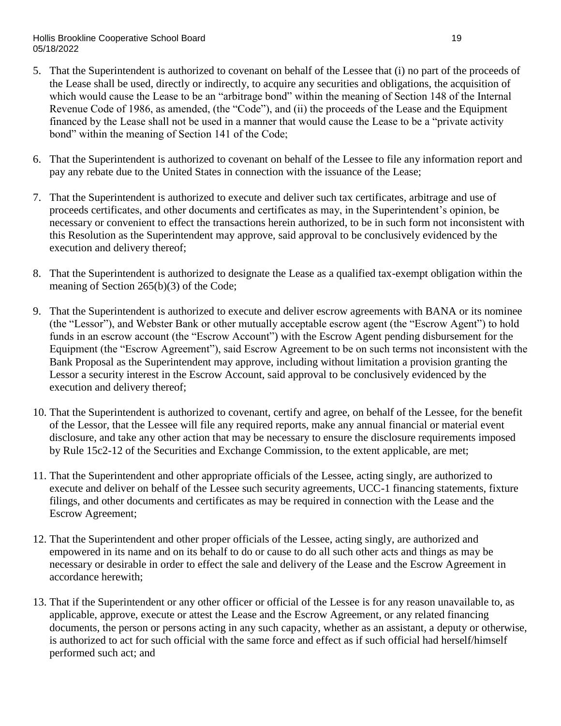#### Hollis Brookline Cooperative School Board 19 November 2008 19 November 2008 19 November 2009 19 05/18/2022

- 5. That the Superintendent is authorized to covenant on behalf of the Lessee that (i) no part of the proceeds of the Lease shall be used, directly or indirectly, to acquire any securities and obligations, the acquisition of which would cause the Lease to be an "arbitrage bond" within the meaning of Section 148 of the Internal Revenue Code of 1986, as amended, (the "Code"), and (ii) the proceeds of the Lease and the Equipment financed by the Lease shall not be used in a manner that would cause the Lease to be a "private activity bond" within the meaning of Section 141 of the Code;
- 6. That the Superintendent is authorized to covenant on behalf of the Lessee to file any information report and pay any rebate due to the United States in connection with the issuance of the Lease;
- 7. That the Superintendent is authorized to execute and deliver such tax certificates, arbitrage and use of proceeds certificates, and other documents and certificates as may, in the Superintendent's opinion, be necessary or convenient to effect the transactions herein authorized, to be in such form not inconsistent with this Resolution as the Superintendent may approve, said approval to be conclusively evidenced by the execution and delivery thereof;
- 8. That the Superintendent is authorized to designate the Lease as a qualified tax-exempt obligation within the meaning of Section 265(b)(3) of the Code;
- 9. That the Superintendent is authorized to execute and deliver escrow agreements with BANA or its nominee (the "Lessor"), and Webster Bank or other mutually acceptable escrow agent (the "Escrow Agent") to hold funds in an escrow account (the "Escrow Account") with the Escrow Agent pending disbursement for the Equipment (the "Escrow Agreement"), said Escrow Agreement to be on such terms not inconsistent with the Bank Proposal as the Superintendent may approve, including without limitation a provision granting the Lessor a security interest in the Escrow Account, said approval to be conclusively evidenced by the execution and delivery thereof;
- 10. That the Superintendent is authorized to covenant, certify and agree, on behalf of the Lessee, for the benefit of the Lessor, that the Lessee will file any required reports, make any annual financial or material event disclosure, and take any other action that may be necessary to ensure the disclosure requirements imposed by Rule 15c2-12 of the Securities and Exchange Commission, to the extent applicable, are met;
- 11. That the Superintendent and other appropriate officials of the Lessee, acting singly, are authorized to execute and deliver on behalf of the Lessee such security agreements, UCC-1 financing statements, fixture filings, and other documents and certificates as may be required in connection with the Lease and the Escrow Agreement;
- 12. That the Superintendent and other proper officials of the Lessee, acting singly, are authorized and empowered in its name and on its behalf to do or cause to do all such other acts and things as may be necessary or desirable in order to effect the sale and delivery of the Lease and the Escrow Agreement in accordance herewith;
- 13. That if the Superintendent or any other officer or official of the Lessee is for any reason unavailable to, as applicable, approve, execute or attest the Lease and the Escrow Agreement, or any related financing documents, the person or persons acting in any such capacity, whether as an assistant, a deputy or otherwise, is authorized to act for such official with the same force and effect as if such official had herself/himself performed such act; and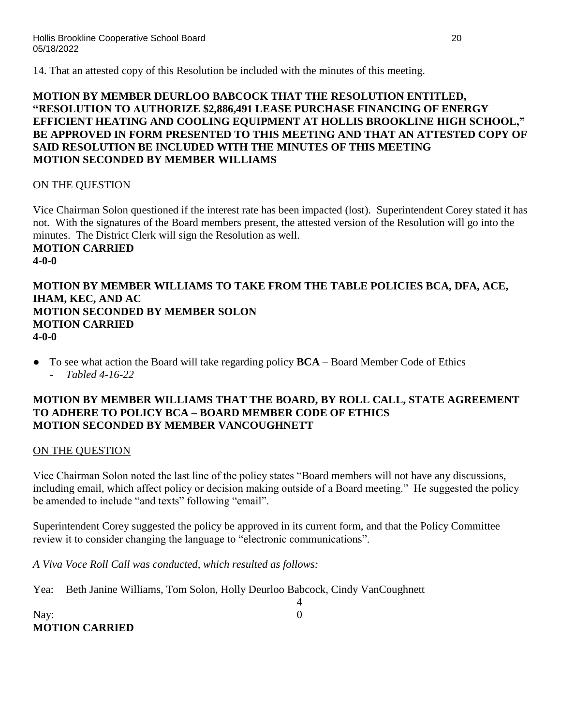14. That an attested copy of this Resolution be included with the minutes of this meeting.

### **MOTION BY MEMBER DEURLOO BABCOCK THAT THE RESOLUTION ENTITLED, "RESOLUTION TO AUTHORIZE \$2,886,491 LEASE PURCHASE FINANCING OF ENERGY EFFICIENT HEATING AND COOLING EQUIPMENT AT HOLLIS BROOKLINE HIGH SCHOOL," BE APPROVED IN FORM PRESENTED TO THIS MEETING AND THAT AN ATTESTED COPY OF SAID RESOLUTION BE INCLUDED WITH THE MINUTES OF THIS MEETING MOTION SECONDED BY MEMBER WILLIAMS**

### ON THE QUESTION

Vice Chairman Solon questioned if the interest rate has been impacted (lost). Superintendent Corey stated it has not. With the signatures of the Board members present, the attested version of the Resolution will go into the minutes. The District Clerk will sign the Resolution as well. **MOTION CARRIED 4-0-0**

#### **MOTION BY MEMBER WILLIAMS TO TAKE FROM THE TABLE POLICIES BCA, DFA, ACE, IHAM, KEC, AND AC MOTION SECONDED BY MEMBER SOLON MOTION CARRIED 4-0-0**

To see what action the Board will take regarding policy **BCA** – Board Member Code of Ethics - *Tabled 4-16-22*

### **MOTION BY MEMBER WILLIAMS THAT THE BOARD, BY ROLL CALL, STATE AGREEMENT TO ADHERE TO POLICY BCA – BOARD MEMBER CODE OF ETHICS MOTION SECONDED BY MEMBER VANCOUGHNETT**

### ON THE QUESTION

Vice Chairman Solon noted the last line of the policy states "Board members will not have any discussions, including email, which affect policy or decision making outside of a Board meeting." He suggested the policy be amended to include "and texts" following "email".

4

Superintendent Corey suggested the policy be approved in its current form, and that the Policy Committee review it to consider changing the language to "electronic communications".

*A Viva Voce Roll Call was conducted, which resulted as follows:*

Yea: Beth Janine Williams, Tom Solon, Holly Deurloo Babcock, Cindy VanCoughnett

Nay: 0 **MOTION CARRIED**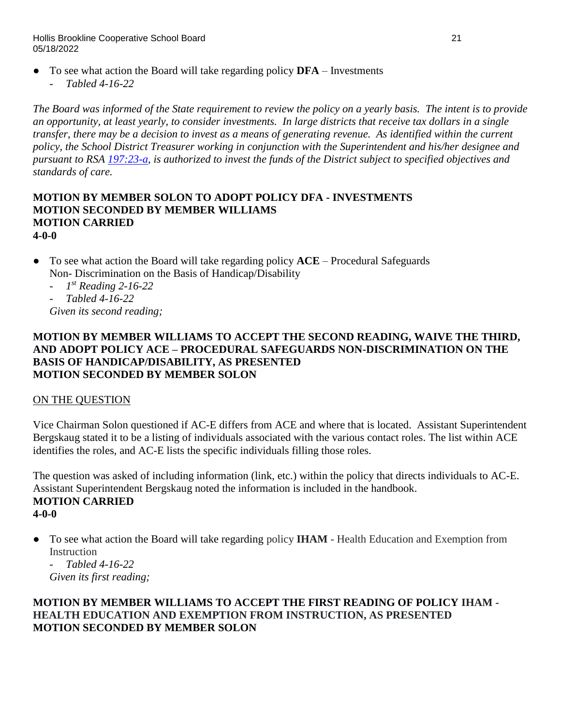Hollis Brookline Cooperative School Board 21 05/18/2022

- To see what action the Board will take regarding policy **DFA** Investments
	- *Tabled 4-16-22*

*The Board was informed of the State requirement to review the policy on a yearly basis. The intent is to provide an opportunity, at least yearly, to consider investments. In large districts that receive tax dollars in a single transfer, there may be a decision to invest as a means of generating revenue. As identified within the current policy, the School District Treasurer working in conjunction with the Superintendent and his/her designee and pursuant to RSA [197:23-a,](http://www.gencourt.state.nh.us/rsa/html/XV/197/197-23-a.htm) is authorized to invest the funds of the District subject to specified objectives and standards of care.*

#### **MOTION BY MEMBER SOLON TO ADOPT POLICY DFA - INVESTMENTS MOTION SECONDED BY MEMBER WILLIAMS MOTION CARRIED 4-0-0**

- To see what action the Board will take regarding policy **ACE**  Procedural Safeguards Non- Discrimination on the Basis of Handicap/Disability
	- *1 st Reading 2-16-22*
	- *Tabled 4-16-22*

*Given its second reading;*

#### **MOTION BY MEMBER WILLIAMS TO ACCEPT THE SECOND READING, WAIVE THE THIRD, AND ADOPT POLICY ACE – PROCEDURAL SAFEGUARDS NON-DISCRIMINATION ON THE BASIS OF HANDICAP/DISABILITY, AS PRESENTED MOTION SECONDED BY MEMBER SOLON**

### ON THE QUESTION

Vice Chairman Solon questioned if AC-E differs from ACE and where that is located. Assistant Superintendent Bergskaug stated it to be a listing of individuals associated with the various contact roles. The list within ACE identifies the roles, and AC-E lists the specific individuals filling those roles.

The question was asked of including information (link, etc.) within the policy that directs individuals to AC-E. Assistant Superintendent Bergskaug noted the information is included in the handbook. **MOTION CARRIED 4-0-0**

● To see what action the Board will take regarding policy **IHAM** - Health Education and Exemption from **Instruction** 

- *Tabled 4-16-22 Given its first reading;*

### **MOTION BY MEMBER WILLIAMS TO ACCEPT THE FIRST READING OF POLICY IHAM - HEALTH EDUCATION AND EXEMPTION FROM INSTRUCTION, AS PRESENTED MOTION SECONDED BY MEMBER SOLON**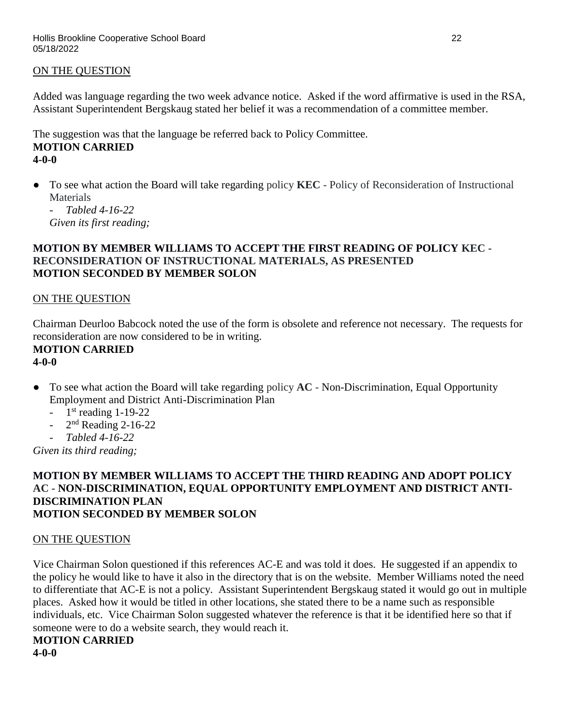### ON THE QUESTION

Added was language regarding the two week advance notice. Asked if the word affirmative is used in the RSA, Assistant Superintendent Bergskaug stated her belief it was a recommendation of a committee member.

The suggestion was that the language be referred back to Policy Committee. **MOTION CARRIED 4-0-0**

● To see what action the Board will take regarding policy **KEC** - Policy of Reconsideration of Instructional Materials

- *Tabled 4-16-22 Given its first reading;*

### **MOTION BY MEMBER WILLIAMS TO ACCEPT THE FIRST READING OF POLICY KEC - RECONSIDERATION OF INSTRUCTIONAL MATERIALS, AS PRESENTED MOTION SECONDED BY MEMBER SOLON**

#### ON THE QUESTION

Chairman Deurloo Babcock noted the use of the form is obsolete and reference not necessary. The requests for reconsideration are now considered to be in writing.

#### **MOTION CARRIED 4-0-0**

- To see what action the Board will take regarding policy **AC** Non-Discrimination, Equal Opportunity Employment and District Anti-Discrimination Plan
	- $-1$ <sup>st</sup> reading 1-19-22
	- $2<sup>nd</sup>$  Reading 2-16-22
	- *Tabled 4-16-22*

*Given its third reading;*

#### **MOTION BY MEMBER WILLIAMS TO ACCEPT THE THIRD READING AND ADOPT POLICY AC - NON-DISCRIMINATION, EQUAL OPPORTUNITY EMPLOYMENT AND DISTRICT ANTI-DISCRIMINATION PLAN MOTION SECONDED BY MEMBER SOLON**

#### ON THE QUESTION

Vice Chairman Solon questioned if this references AC-E and was told it does. He suggested if an appendix to the policy he would like to have it also in the directory that is on the website. Member Williams noted the need to differentiate that AC-E is not a policy. Assistant Superintendent Bergskaug stated it would go out in multiple places. Asked how it would be titled in other locations, she stated there to be a name such as responsible individuals, etc. Vice Chairman Solon suggested whatever the reference is that it be identified here so that if someone were to do a website search, they would reach it.

**MOTION CARRIED 4-0-0**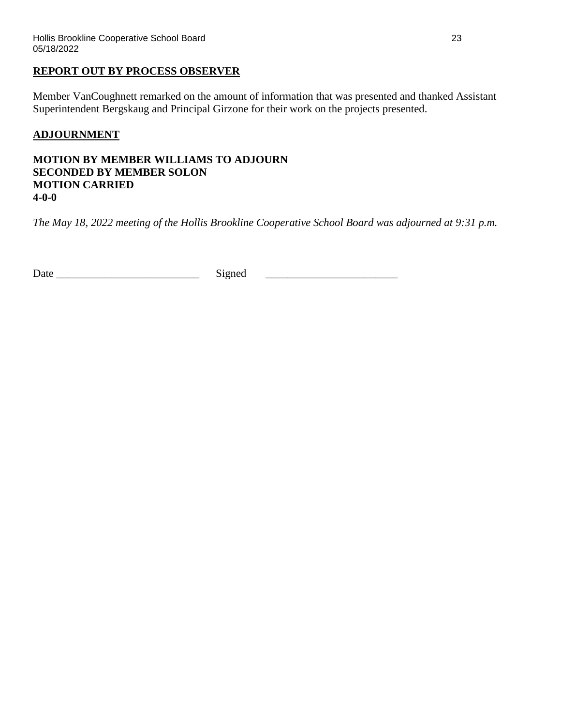#### **REPORT OUT BY PROCESS OBSERVER**

Member VanCoughnett remarked on the amount of information that was presented and thanked Assistant Superintendent Bergskaug and Principal Girzone for their work on the projects presented.

### **ADJOURNMENT**

**MOTION BY MEMBER WILLIAMS TO ADJOURN SECONDED BY MEMBER SOLON MOTION CARRIED 4-0-0**

*The May 18, 2022 meeting of the Hollis Brookline Cooperative School Board was adjourned at 9:31 p.m.*

Date \_\_\_\_\_\_\_\_\_\_\_\_\_\_\_\_\_\_\_\_\_\_\_\_\_\_ Signed \_\_\_\_\_\_\_\_\_\_\_\_\_\_\_\_\_\_\_\_\_\_\_\_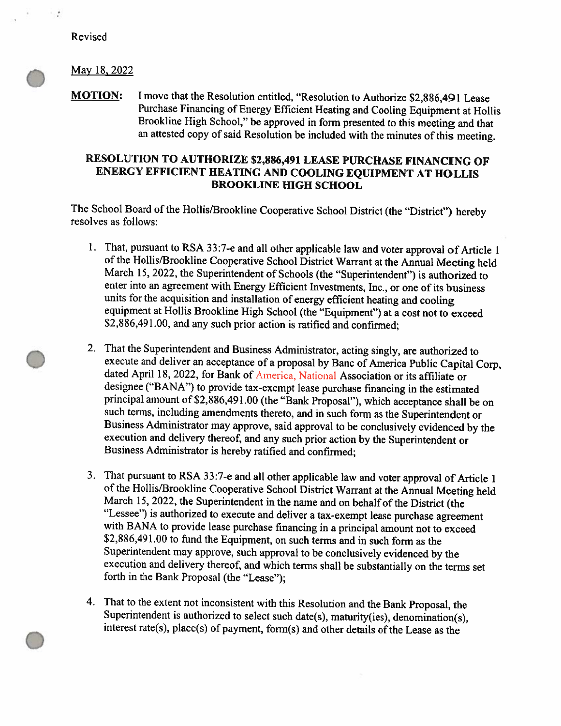Revised

 $\sim$  5

#### May 18, 2022

**MOTION:** I move that the Resolution entitled, "Resolution to Authorize \$2,886,491 Lease Purchase Financing of Energy Efficient Heating and Cooling Equipment at Hollis Brookline High School," be approved in form presented to this meeting and that an attested copy of said Resolution be included with the minutes of this meeting.

# RESOLUTION TO AUTHORIZE \$2,886,491 LEASE PURCHASE FINANCING OF ENERGY EFFICIENT HEATING AND COOLING EQUIPMENT AT HOLLIS **BROOKLINE HIGH SCHOOL**

The School Board of the Hollis/Brookline Cooperative School District (the "District") hereby resolves as follows:

- 1. That, pursuant to RSA 33:7-e and all other applicable law and voter approval of Article 1 of the Hollis/Brookline Cooperative School District Warrant at the Annual Meeting held March 15, 2022, the Superintendent of Schools (the "Superintendent") is authorized to enter into an agreement with Energy Efficient Investments, Inc., or one of its business units for the acquisition and installation of energy efficient heating and cooling equipment at Hollis Brookline High School (the "Equipment") at a cost not to exceed \$2,886,491.00, and any such prior action is ratified and confirmed;
- 2. That the Superintendent and Business Administrator, acting singly, are authorized to execute and deliver an acceptance of a proposal by Banc of America Public Capital Corp, dated April 18, 2022, for Bank of America, National Association or its affiliate or designee ("BANA") to provide tax-exempt lease purchase financing in the estimated principal amount of \$2,886,491.00 (the "Bank Proposal"), which acceptance shall be on such terms, including amendments thereto, and in such form as the Superintendent or Business Administrator may approve, said approval to be conclusively evidenced by the execution and delivery thereof, and any such prior action by the Superintendent or Business Administrator is hereby ratified and confirmed;
- 3. That pursuant to RSA 33:7-e and all other applicable law and voter approval of Article 1 of the Hollis/Brookline Cooperative School District Warrant at the Annual Meeting held March 15, 2022, the Superintendent in the name and on behalf of the District (the "Lessee") is authorized to execute and deliver a tax-exempt lease purchase agreement with BANA to provide lease purchase financing in a principal amount not to exceed \$2,886,491.00 to fund the Equipment, on such terms and in such form as the Superintendent may approve, such approval to be conclusively evidenced by the execution and delivery thereof, and which terms shall be substantially on the terms set forth in the Bank Proposal (the "Lease");
- 4. That to the extent not inconsistent with this Resolution and the Bank Proposal, the Superintendent is authorized to select such date(s), maturity(ies), denomination(s), interest rate(s), place(s) of payment, form(s) and other details of the Lease as the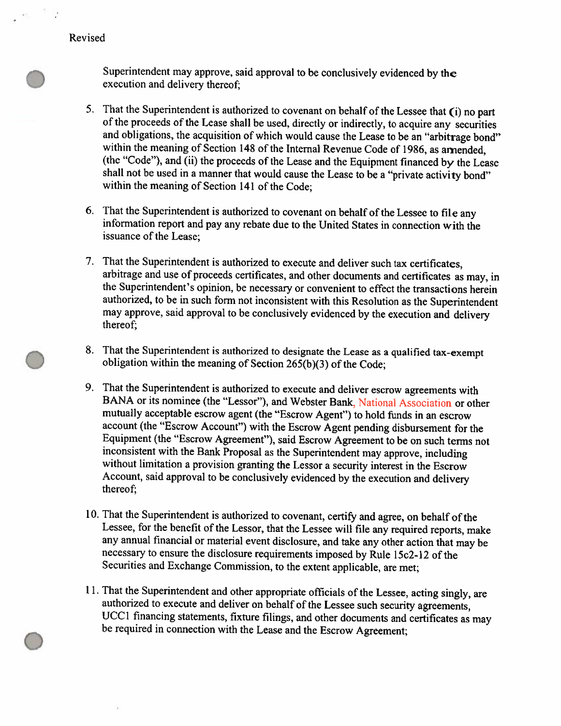Revised

Superintendent may approve, said approval to be conclusively evidenced by the execution and delivery thereof;

- 5. That the Superintendent is authorized to covenant on behalf of the Lessee that (i) no part of the proceeds of the Lease shall be used, directly or indirectly, to acquire any securities and obligations, the acquisition of which would cause the Lease to be an "arbitrage bond" within the meaning of Section 148 of the Internal Revenue Code of 1986, as amended, (the "Code"), and (ii) the proceeds of the Lease and the Equipment financed by the Lease shall not be used in a manner that would cause the Lease to be a "private activity bond" within the meaning of Section 141 of the Code;
- 6. That the Superintendent is authorized to covenant on behalf of the Lessee to file any information report and pay any rebate due to the United States in connection with the issuance of the Lease;
- 7. That the Superintendent is authorized to execute and deliver such tax certificates, arbitrage and use of proceeds certificates, and other documents and certificates as may, in the Superintendent's opinion, be necessary or convenient to effect the transactions herein authorized, to be in such form not inconsistent with this Resolution as the Superintendent may approve, said approval to be conclusively evidenced by the execution and delivery thereof;
- 8. That the Superintendent is authorized to designate the Lease as a qualified tax-exempt obligation within the meaning of Section 265(b)(3) of the Code;
- 9. That the Superintendent is authorized to execute and deliver escrow agreements with BANA or its nominee (the "Lessor"), and Webster Bank, National Association or other mutually acceptable escrow agent (the "Escrow Agent") to hold funds in an escrow account (the "Escrow Account") with the Escrow Agent pending disbursement for the Equipment (the "Escrow Agreement"), said Escrow Agreement to be on such terms not inconsistent with the Bank Proposal as the Superintendent may approve, including without limitation a provision granting the Lessor a security interest in the Escrow Account, said approval to be conclusively evidenced by the execution and delivery thereof;
- 10. That the Superintendent is authorized to covenant, certify and agree, on behalf of the Lessee, for the benefit of the Lessor, that the Lessee will file any required reports, make any annual financial or material event disclosure, and take any other action that may be necessary to ensure the disclosure requirements imposed by Rule 15c2-12 of the Securities and Exchange Commission, to the extent applicable, are met;
- 11. That the Superintendent and other appropriate officials of the Lessee, acting singly, are authorized to execute and deliver on behalf of the Lessee such security agreements, UCC1 financing statements, fixture filings, and other documents and certificates as may be required in connection with the Lease and the Escrow Agreement;